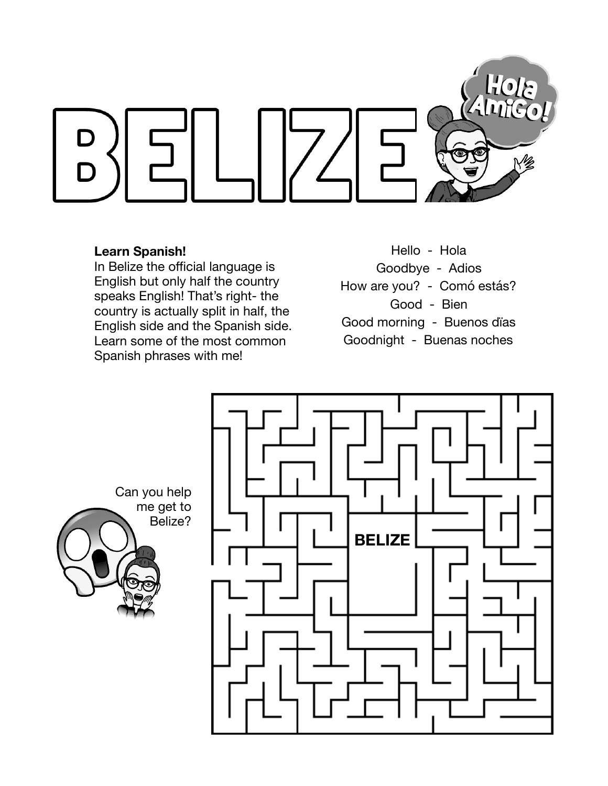

## **Learn Spanish!**

In Belize the official language is English but only half the country speaks English! That's right- the country is actually split in half, the English side and the Spanish side. Learn some of the most common Spanish phrases with me!

Hello - Hola Goodbye - Adios How are you? - Comó estás? Good - Bien Good morning - Buenos dïas Goodnight - Buenas noches

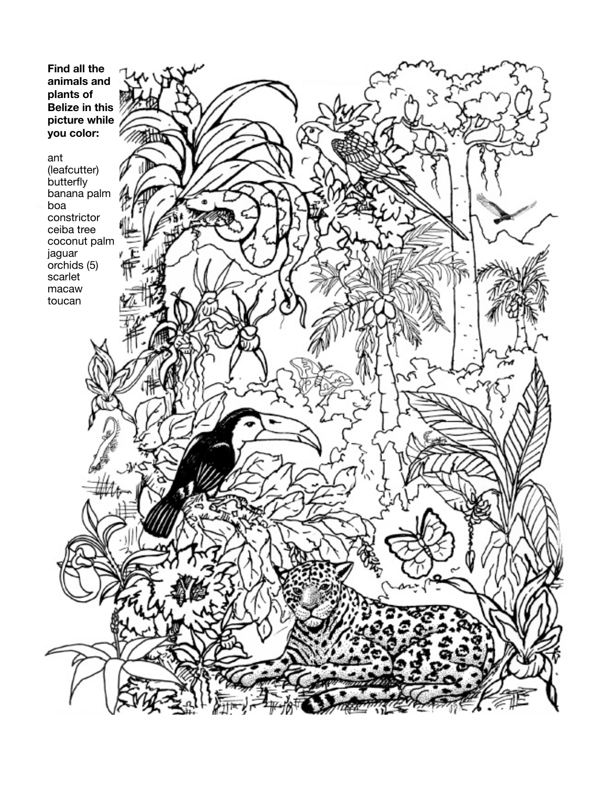**Find all the animals and plants of Belize in this picture while you color:**  ant (leafcutter) butterfly banana palm boa constrictor ceiba tree coconut palm jaguar orchids (5) scarlet macaw toucan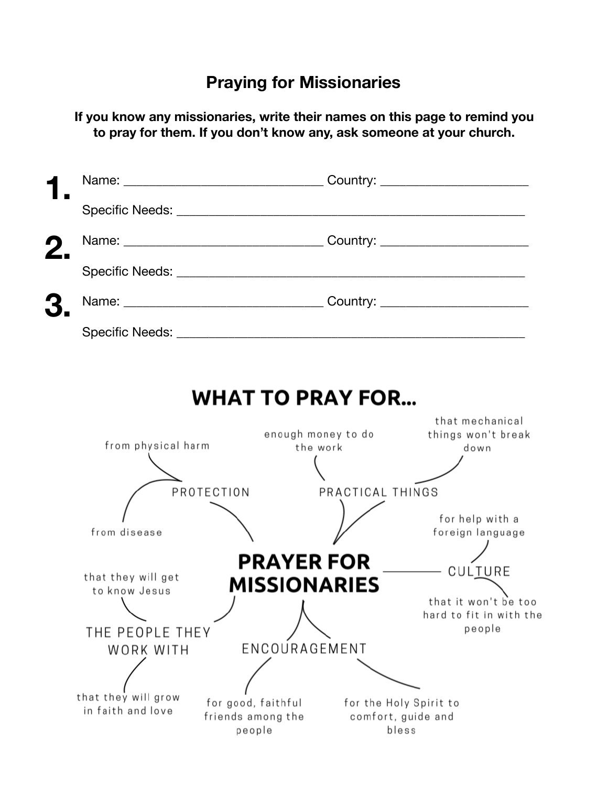## **Praying for Missionaries**

**If you know any missionaries, write their names on this page to remind you to pray for them. If you don't know any, ask someone at your church.**

|                                                        | <b>WHAT TO PRAY FOR</b>                                                                                    |                                                           |  |
|--------------------------------------------------------|------------------------------------------------------------------------------------------------------------|-----------------------------------------------------------|--|
| from physical harm                                     | enough money to do<br>the work                                                                             | that mechanical<br>things won't break<br>down             |  |
|                                                        | PROTECTION<br>PRACTICAL THINGS                                                                             |                                                           |  |
| from disease                                           |                                                                                                            | for help with a<br>foreign language                       |  |
| <b>PRAYER FOR</b><br>— CULTURE                         |                                                                                                            |                                                           |  |
| that they will get<br>to know Jesus<br>THE PEOPLE THEY | MISSIONARIES                                                                                               | that it won't be too<br>hard to fit in with the<br>people |  |
| WORK WITH                                              | ENCOURAGEMENT                                                                                              |                                                           |  |
| that they will grow<br>in faith and love               | for good, faithful<br>for the Holy Spirit to<br>friends among the<br>comfort, guide and<br>people<br>bless |                                                           |  |